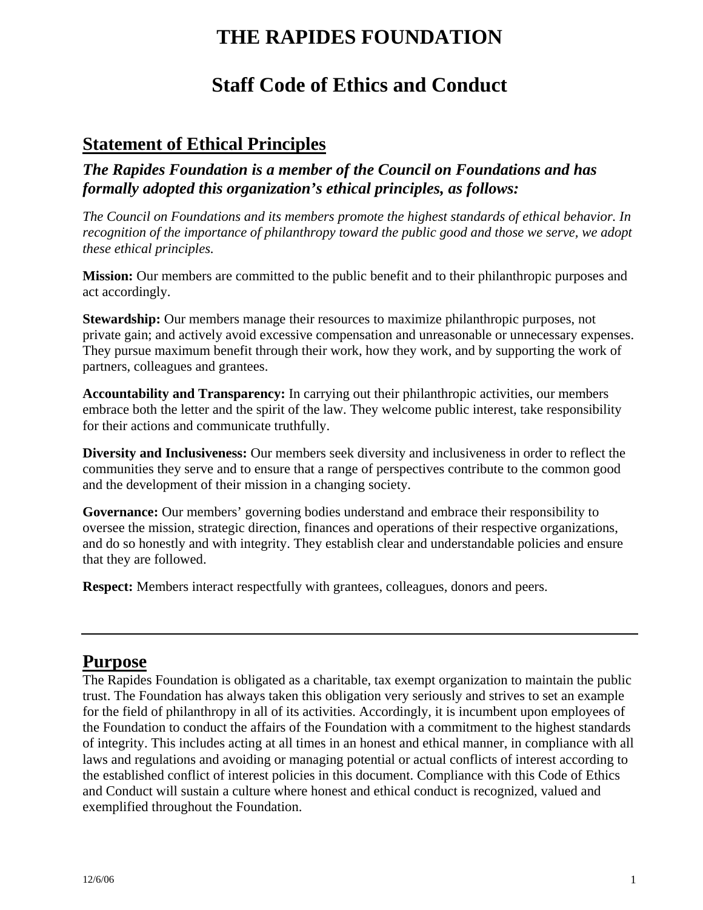# **THE RAPIDES FOUNDATION**

# **Staff Code of Ethics and Conduct**

## **Statement of Ethical Principles**

*The Rapides Foundation is a member of the Council on Foundations and has formally adopted this organization's ethical principles, as follows:* 

*The Council on Foundations and its members promote the highest standards of ethical behavior. In recognition of the importance of philanthropy toward the public good and those we serve, we adopt these ethical principles.*

**Mission:** Our members are committed to the public benefit and to their philanthropic purposes and act accordingly.

**Stewardship:** Our members manage their resources to maximize philanthropic purposes, not private gain; and actively avoid excessive compensation and unreasonable or unnecessary expenses. They pursue maximum benefit through their work, how they work, and by supporting the work of partners, colleagues and grantees.

**Accountability and Transparency:** In carrying out their philanthropic activities, our members embrace both the letter and the spirit of the law. They welcome public interest, take responsibility for their actions and communicate truthfully.

**Diversity and Inclusiveness:** Our members seek diversity and inclusiveness in order to reflect the communities they serve and to ensure that a range of perspectives contribute to the common good and the development of their mission in a changing society.

**Governance:** Our members' governing bodies understand and embrace their responsibility to oversee the mission, strategic direction, finances and operations of their respective organizations, and do so honestly and with integrity. They establish clear and understandable policies and ensure that they are followed.

**Respect:** Members interact respectfully with grantees, colleagues, donors and peers.

## **Purpose**

The Rapides Foundation is obligated as a charitable, tax exempt organization to maintain the public trust. The Foundation has always taken this obligation very seriously and strives to set an example for the field of philanthropy in all of its activities. Accordingly, it is incumbent upon employees of the Foundation to conduct the affairs of the Foundation with a commitment to the highest standards of integrity. This includes acting at all times in an honest and ethical manner, in compliance with all laws and regulations and avoiding or managing potential or actual conflicts of interest according to the established conflict of interest policies in this document. Compliance with this Code of Ethics and Conduct will sustain a culture where honest and ethical conduct is recognized, valued and exemplified throughout the Foundation.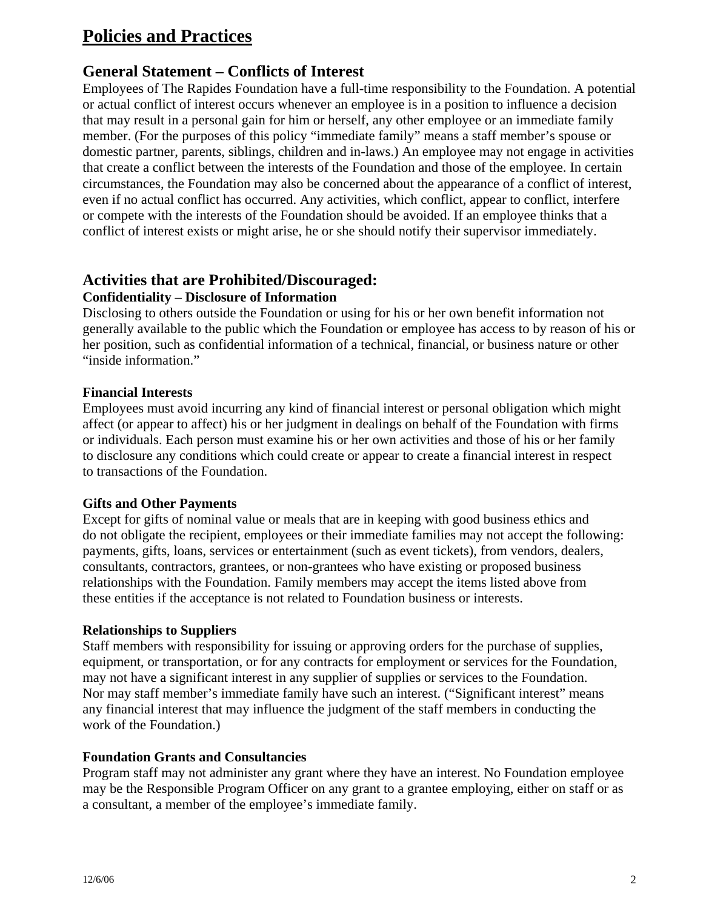## **Policies and Practices**

## **General Statement – Conflicts of Interest**

Employees of The Rapides Foundation have a full-time responsibility to the Foundation. A potential or actual conflict of interest occurs whenever an employee is in a position to influence a decision that may result in a personal gain for him or herself, any other employee or an immediate family member. (For the purposes of this policy "immediate family" means a staff member's spouse or domestic partner, parents, siblings, children and in-laws.) An employee may not engage in activities that create a conflict between the interests of the Foundation and those of the employee. In certain circumstances, the Foundation may also be concerned about the appearance of a conflict of interest, even if no actual conflict has occurred. Any activities, which conflict, appear to conflict, interfere or compete with the interests of the Foundation should be avoided. If an employee thinks that a conflict of interest exists or might arise, he or she should notify their supervisor immediately.

#### **Activities that are Prohibited/Discouraged: Confidentiality – Disclosure of Information**

Disclosing to others outside the Foundation or using for his or her own benefit information not generally available to the public which the Foundation or employee has access to by reason of his or her position, such as confidential information of a technical, financial, or business nature or other "inside information."

#### **Financial Interests**

Employees must avoid incurring any kind of financial interest or personal obligation which might affect (or appear to affect) his or her judgment in dealings on behalf of the Foundation with firms or individuals. Each person must examine his or her own activities and those of his or her family to disclosure any conditions which could create or appear to create a financial interest in respect to transactions of the Foundation.

#### **Gifts and Other Payments**

Except for gifts of nominal value or meals that are in keeping with good business ethics and do not obligate the recipient, employees or their immediate families may not accept the following: payments, gifts, loans, services or entertainment (such as event tickets), from vendors, dealers, consultants, contractors, grantees, or non-grantees who have existing or proposed business relationships with the Foundation. Family members may accept the items listed above from these entities if the acceptance is not related to Foundation business or interests.

#### **Relationships to Suppliers**

Staff members with responsibility for issuing or approving orders for the purchase of supplies, equipment, or transportation, or for any contracts for employment or services for the Foundation, may not have a significant interest in any supplier of supplies or services to the Foundation. Nor may staff member's immediate family have such an interest. ("Significant interest" means any financial interest that may influence the judgment of the staff members in conducting the work of the Foundation.)

#### **Foundation Grants and Consultancies**

Program staff may not administer any grant where they have an interest. No Foundation employee may be the Responsible Program Officer on any grant to a grantee employing, either on staff or as a consultant, a member of the employee's immediate family.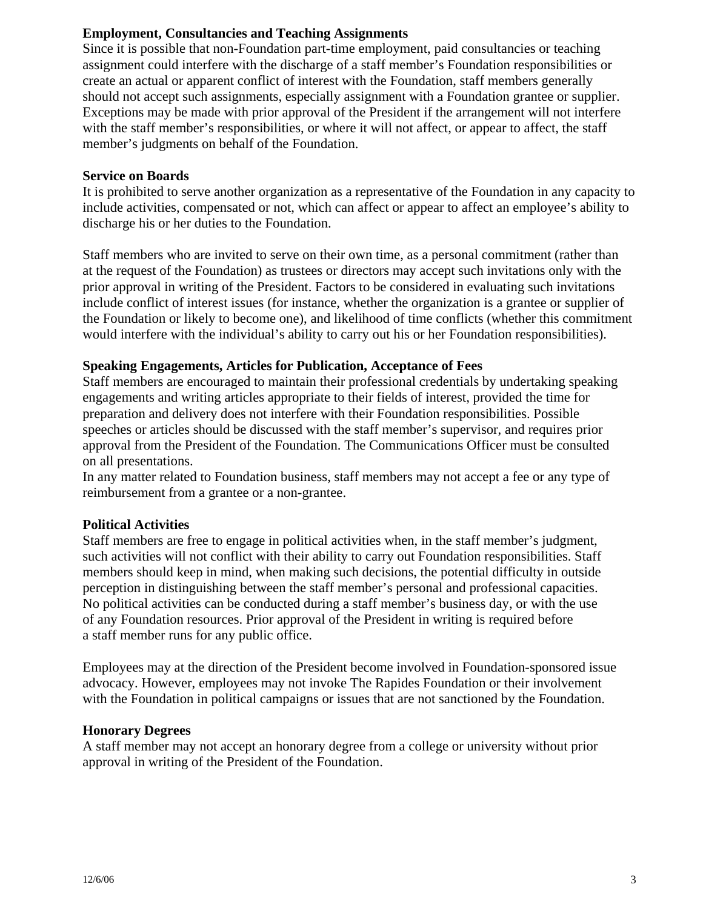#### **Employment, Consultancies and Teaching Assignments**

Since it is possible that non-Foundation part-time employment, paid consultancies or teaching assignment could interfere with the discharge of a staff member's Foundation responsibilities or create an actual or apparent conflict of interest with the Foundation, staff members generally should not accept such assignments, especially assignment with a Foundation grantee or supplier. Exceptions may be made with prior approval of the President if the arrangement will not interfere with the staff member's responsibilities, or where it will not affect, or appear to affect, the staff member's judgments on behalf of the Foundation.

#### **Service on Boards**

It is prohibited to serve another organization as a representative of the Foundation in any capacity to include activities, compensated or not, which can affect or appear to affect an employee's ability to discharge his or her duties to the Foundation.

Staff members who are invited to serve on their own time, as a personal commitment (rather than at the request of the Foundation) as trustees or directors may accept such invitations only with the prior approval in writing of the President. Factors to be considered in evaluating such invitations include conflict of interest issues (for instance, whether the organization is a grantee or supplier of the Foundation or likely to become one), and likelihood of time conflicts (whether this commitment would interfere with the individual's ability to carry out his or her Foundation responsibilities).

#### **Speaking Engagements, Articles for Publication, Acceptance of Fees**

Staff members are encouraged to maintain their professional credentials by undertaking speaking engagements and writing articles appropriate to their fields of interest, provided the time for preparation and delivery does not interfere with their Foundation responsibilities. Possible speeches or articles should be discussed with the staff member's supervisor, and requires prior approval from the President of the Foundation. The Communications Officer must be consulted on all presentations.

In any matter related to Foundation business, staff members may not accept a fee or any type of reimbursement from a grantee or a non-grantee.

#### **Political Activities**

Staff members are free to engage in political activities when, in the staff member's judgment, such activities will not conflict with their ability to carry out Foundation responsibilities. Staff members should keep in mind, when making such decisions, the potential difficulty in outside perception in distinguishing between the staff member's personal and professional capacities. No political activities can be conducted during a staff member's business day, or with the use of any Foundation resources. Prior approval of the President in writing is required before a staff member runs for any public office.

Employees may at the direction of the President become involved in Foundation-sponsored issue advocacy. However, employees may not invoke The Rapides Foundation or their involvement with the Foundation in political campaigns or issues that are not sanctioned by the Foundation.

#### **Honorary Degrees**

A staff member may not accept an honorary degree from a college or university without prior approval in writing of the President of the Foundation.